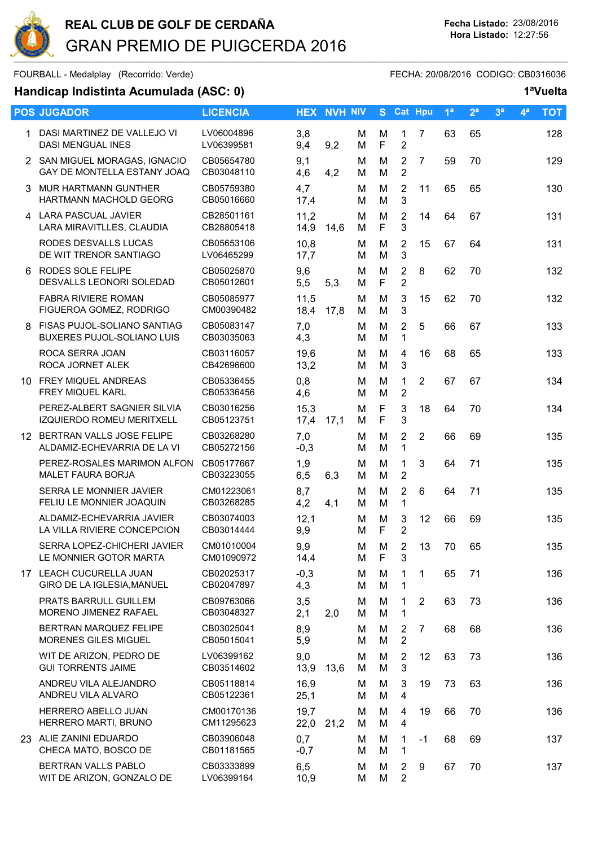

FOURBALL - Medalplay (Recorrido: Verde) extendio for the extendio fecha: 20/08/2016 CODIGO: CB0316036

|    | <b>POS JUGADOR</b>                                                      | <b>LICENCIA</b>          |               | <b>HEX NVH NIV</b> |        | S.                         | Cat Hpu                          |                | 1 <sup>a</sup> | 2 <sup>a</sup> | 3 <sup>a</sup> | 4 <sup>a</sup> | <b>TOT</b> |
|----|-------------------------------------------------------------------------|--------------------------|---------------|--------------------|--------|----------------------------|----------------------------------|----------------|----------------|----------------|----------------|----------------|------------|
|    | DASI MARTINEZ DE VALLEJO VI<br><b>DASI MENGUAL INES</b>                 | LV06004896<br>LV06399581 | 3,8<br>9,4    | 9,2                | м<br>M | M<br>$\mathsf F$           | $\mathbf{1}$<br>$\overline{2}$   | $\overline{7}$ | 63             | 65             |                |                | 128        |
|    | 2 SAN MIGUEL MORAGAS, IGNACIO<br>GAY DE MONTELLA ESTANY JOAQ            | CB05654780<br>CB03048110 | 9,1<br>4,6    | 4,2                | м<br>м | M<br>M                     | 2<br>$\overline{2}$              | $\overline{7}$ | 59             | 70             |                |                | 129        |
|    | 3 MUR HARTMANN GUNTHER<br>HARTMANN MACHOLD GEORG                        | CB05759380<br>CB05016660 | 4,7<br>17,4   |                    | M<br>м | M<br>M                     | $\overline{2}$<br>3              | 11             | 65             | 65             |                |                | 130        |
|    | 4 LARA PASCUAL JAVIER<br>LARA MIRAVITLLES, CLAUDIA                      | CB28501161<br>CB28805418 | 11,2<br>14,9  | 14,6               | м<br>M | M<br>$\mathsf F$           | $\overline{2}$<br>3              | 14             | 64             | 67             |                |                | 131        |
|    | RODES DESVALLS LUCAS<br>DE WIT TRENOR SANTIAGO                          | CB05653106<br>LV06465299 | 10,8<br>17,7  |                    | M<br>м | M<br>M                     | $\overline{2}$<br>3              | 15             | 67             | 64             |                |                | 131        |
|    | 6 RODES SOLE FELIPE<br>DESVALLS LEONORI SOLEDAD                         | CB05025870<br>CB05012601 | 9,6<br>5,5    | 5,3                | M<br>м | M<br>$\mathsf F$           | $\overline{2}$<br>$\overline{2}$ | 8              | 62             | 70             |                |                | 132        |
|    | <b>FABRA RIVIERE ROMAN</b><br>FIGUEROA GOMEZ, RODRIGO                   | CB05085977<br>CM00390482 | 11,5<br>18,4  | 17,8               | м<br>М | M<br>M                     | 3<br>3                           | 15             | 62             | 70             |                |                | 132        |
| 8  | <b>FISAS PUJOL-SOLIANO SANTIAG</b><br><b>BUXERES PUJOL-SOLIANO LUIS</b> | CB05083147<br>CB03035063 | 7,0<br>4,3    |                    | м<br>м | M<br>M                     | $\overline{2}$<br>1              | 5              | 66             | 67             |                |                | 133        |
|    | ROCA SERRA JOAN<br>ROCA JORNET ALEK                                     | CB03116057<br>CB42696600 | 19,6<br>13,2  |                    | М<br>М | M<br>M                     | 4<br>3                           | 16             | 68             | 65             |                |                | 133        |
|    | 10 FREY MIQUEL ANDREAS<br>FREY MIQUEL KARL                              | CB05336455<br>CB05336456 | 0,8<br>4,6    |                    | м<br>м | M<br>M                     | 1<br>$\overline{2}$              | $\overline{2}$ | 67             | 67             |                |                | 134        |
|    | PEREZ-ALBERT SAGNIER SILVIA<br><b>IZQUIERDO ROMEU MERITXELL</b>         | CB03016256<br>CB05123751 | 15,3<br>17,4  | 17,1               | м<br>M | $\mathsf F$<br>$\mathsf F$ | 3<br>3                           | 18             | 64             | 70             |                |                | 134        |
| 12 | BERTRAN VALLS JOSE FELIPE<br>ALDAMIZ-ECHEVARRIA DE LA VI                | CB03268280<br>CB05272156 | 7,0<br>$-0,3$ |                    | M<br>м | M<br>M                     | $\overline{2}$<br>$\mathbf{1}$   | $\overline{2}$ | 66             | 69             |                |                | 135        |
|    | PEREZ-ROSALES MARIMON ALFON<br><b>MALET FAURA BORJA</b>                 | CB05177667<br>CB03223055 | 1,9<br>6,5    | 6,3                | M<br>м | M<br>M                     | 1<br>$\overline{2}$              | 3              | 64             | 71             |                |                | 135        |
|    | SERRA LE MONNIER JAVIER<br>FELIU LE MONNIER JOAQUIN                     | CM01223061<br>CB03268285 | 8,7<br>4,2    | 4,1                | м<br>м | M<br>M                     | $\overline{2}$<br>1              | 6              | 64             | 71             |                |                | 135        |
|    | ALDAMIZ-ECHEVARRIA JAVIER<br>LA VILLA RIVIERE CONCEPCION                | CB03074003<br>CB03014444 | 12,1<br>9,9   |                    | M<br>M | M<br>$\mathsf F$           | 3<br>$\overline{2}$              | 12             | 66             | 69             |                |                | 135        |
|    | SERRA LOPEZ-CHICHERI JAVIER<br>LE MONNIER GOTOR MARTA                   | CM01010004<br>CM01090972 | 9,9<br>14,4   |                    | M<br>М | M<br>F                     | 2<br>3                           | 13             | 70             | 65             |                |                | 135        |
|    | 17 LEACH CUCURELLA JUAN<br>GIRO DE LA IGLESIA, MANUEL                   | CB02025317<br>CB02047897 | $-0,3$<br>4,3 |                    | м<br>М | M<br>M                     | 1<br>1                           | 1              | 65             | 71             |                |                | 136        |
|    | PRATS BARRULL GUILLEM<br>MORENO JIMENEZ RAFAEL                          | CB09763066<br>CB03048327 | 3,5<br>2,1    | 2,0                | м<br>М | M<br>M                     | $\mathbf 1$<br>1                 | 2              | 63             | 73             |                |                | 136        |
|    | BERTRAN MARQUEZ FELIPE<br>MORENES GILES MIGUEL                          | CB03025041<br>CB05015041 | 8,9<br>5,9    |                    | м<br>м | М<br>M                     | 2<br>$\overline{2}$              | $\overline{7}$ | 68             | 68             |                |                | 136        |
|    | WIT DE ARIZON, PEDRO DE<br><b>GUI TORRENTS JAIME</b>                    | LV06399162<br>CB03514602 | 9,0<br>13,9   | 13,6               | м<br>M | M<br>M                     | $\overline{2}$<br>3              | 12             | 63             | 73             |                |                | 136        |
|    | ANDREU VILA ALEJANDRO<br>ANDREU VILA ALVARO                             | CB05118814<br>CB05122361 | 16,9<br>25,1  |                    | м<br>М | M<br>M                     | 3<br>4                           | 19             | 73             | 63             |                |                | 136        |
|    | HERRERO ABELLO JUAN<br>HERRERO MARTI, BRUNO                             | CM00170136<br>CM11295623 | 19,7<br>22,0  | 21,2               | M<br>M | M<br>M                     | 4<br>4                           | 19             | 66             | 70             |                |                | 136        |
|    | 23 ALIE ZANINI EDUARDO<br>CHECA MATO, BOSCO DE                          | CB03906048<br>CB01181565 | 0,7<br>$-0,7$ |                    | м<br>М | M<br>M                     | 1<br>1                           | $-1$           | 68             | 69             |                |                | 137        |
|    | BERTRAN VALLS PABLO<br>WIT DE ARIZON, GONZALO DE                        | CB03333899<br>LV06399164 | 6,5<br>10,9   |                    | м<br>M | M<br>M                     | 2<br>$\overline{2}$              | 9              | 67             | 70             |                |                | 137        |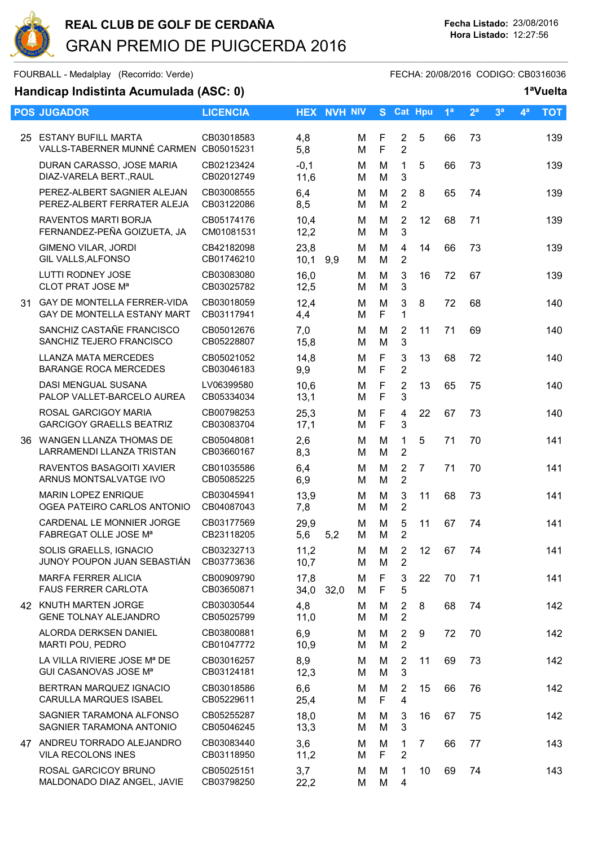

FOURBALL - Medalplay (Recorrido: Verde) extendio for the extendio fecha: 20/08/2016 CODIGO: CB0316036

|     | <b>POS JUGADOR</b>                                                   | <b>LICENCIA</b>          |                | <b>HEX NVH NIV</b> |        |                             | S Cat Hpu                        |                | 1 <sup>a</sup> | 2 <sup>a</sup> | 3 <sup>a</sup> | 4 <sup>a</sup> | <b>TOT</b> |
|-----|----------------------------------------------------------------------|--------------------------|----------------|--------------------|--------|-----------------------------|----------------------------------|----------------|----------------|----------------|----------------|----------------|------------|
| 25  | <b>ESTANY BUFILL MARTA</b><br>VALLS-TABERNER MUNNÉ CARMEN CB05015231 | CB03018583               | 4,8<br>5,8     |                    | М<br>M | F<br>F                      | $\overline{2}$<br>$\overline{2}$ | 5              | 66             | 73             |                |                | 139        |
|     | DURAN CARASSO, JOSE MARIA<br>DIAZ-VARELA BERT., RAUL                 | CB02123424<br>CB02012749 | $-0,1$<br>11,6 |                    | М<br>м | M<br>M                      | $\mathbf{1}$<br>3                | 5              | 66             | 73             |                |                | 139        |
|     | PEREZ-ALBERT SAGNIER ALEJAN<br>PEREZ-ALBERT FERRATER ALEJA           | CB03008555<br>CB03122086 | 6,4<br>8,5     |                    | М<br>M | M<br>M                      | $\overline{2}$<br>$\overline{2}$ | 8              | 65             | 74             |                |                | 139        |
|     | RAVENTOS MARTI BORJA<br>FERNANDEZ-PEÑA GOIZUETA, JA                  | CB05174176<br>CM01081531 | 10,4<br>12,2   |                    | M<br>М | M<br>Μ                      | $\overline{2}$<br>3              | 12             | 68             | 71             |                |                | 139        |
|     | <b>GIMENO VILAR, JORDI</b><br><b>GIL VALLS, ALFONSO</b>              | CB42182098<br>CB01746210 | 23,8<br>10,1   | 9,9                | M<br>М | M<br>M                      | $\overline{4}$<br>$\overline{2}$ | 14             | 66             | 73             |                |                | 139        |
|     | <b>LUTTI RODNEY JOSE</b><br>CLOT PRAT JOSE M <sup>a</sup>            | CB03083080<br>CB03025782 | 16,0<br>12,5   |                    | M<br>М | M<br>M                      | 3<br>3                           | 16             | 72             | 67             |                |                | 139        |
| 31. | GAY DE MONTELLA FERRER-VIDA<br>GAY DE MONTELLA ESTANY MART           | CB03018059<br>CB03117941 | 12,4<br>4,4    |                    | М<br>M | M<br>F                      | 3<br>$\mathbf{1}$                | 8              | 72             | 68             |                |                | 140        |
|     | SANCHIZ CASTAÑE FRANCISCO<br>SANCHIZ TEJERO FRANCISCO                | CB05012676<br>CB05228807 | 7,0<br>15,8    |                    | М<br>М | M<br>M                      | 2<br>3                           | 11             | 71             | 69             |                |                | 140        |
|     | <b>LLANZA MATA MERCEDES</b><br><b>BARANGE ROCA MERCEDES</b>          | CB05021052<br>CB03046183 | 14,8<br>9,9    |                    | М<br>м | $\mathsf F$<br>F            | 3<br>$\overline{2}$              | 13             | 68             | 72             |                |                | 140        |
|     | <b>DASI MENGUAL SUSANA</b><br>PALOP VALLET-BARCELO AUREA             | LV06399580<br>CB05334034 | 10,6<br>13,1   |                    | M<br>M | $\mathsf F$<br>$\mathsf{F}$ | $\overline{2}$<br>3              | 13             | 65             | 75             |                |                | 140        |
|     | ROSAL GARCIGOY MARIA<br><b>GARCIGOY GRAELLS BEATRIZ</b>              | CB00798253<br>CB03083704 | 25,3<br>17,1   |                    | M<br>М | F<br>F                      | 4<br>3                           | 22             | 67             | 73             |                |                | 140        |
| 36. | WANGEN LLANZA THOMAS DE<br>LARRAMENDI LLANZA TRISTAN                 | CB05048081<br>CB03660167 | 2,6<br>8,3     |                    | M<br>М | M<br>M                      | 1<br>$\overline{2}$              | 5              | 71             | 70             |                |                | 141        |
|     | RAVENTOS BASAGOITI XAVIER<br>ARNUS MONTSALVATGE IVO                  | CB01035586<br>CB05085225 | 6,4<br>6,9     |                    | M<br>М | M<br>M                      | $\overline{2}$<br>$\overline{2}$ | $\overline{7}$ | 71             | 70             |                |                | 141        |
|     | <b>MARIN LOPEZ ENRIQUE</b><br>OGEA PATEIRO CARLOS ANTONIO            | CB03045941<br>CB04087043 | 13,9<br>7,8    |                    | M<br>М | M<br>M                      | 3<br>$\overline{2}$              | 11             | 68             | 73             |                |                | 141        |
|     | CARDENAL LE MONNIER JORGE<br>FABREGAT OLLE JOSE M <sup>a</sup>       | CB03177569<br>CB23118205 | 29,9<br>5,6    | 5,2                | M<br>M | M<br>M                      | 5<br>$\overline{2}$              | 11             | 67             | 74             |                |                | 141        |
|     | SOLIS GRAELLS, IGNACIO<br>JUNOY POUPON JUAN SEBASTIÁN                | CB03232713<br>CB03773636 | 11,2<br>10,7   |                    | M<br>м | M<br>M                      | $\overline{2}$<br>$\overline{2}$ | 12             | 67             | 74             |                |                | 141        |
|     | <b>MARFA FERRER ALICIA</b><br><b>FAUS FERRER CARLOTA</b>             | CB00909790<br>CB03650871 | 17,8<br>34,0   | 32,0               | M<br>М | F<br>F                      | 3<br>5                           | 22             | 70             | 71             |                |                | 141        |
|     | 42 KNUTH MARTEN JORGE<br><b>GENE TOLNAY ALEJANDRO</b>                | CB03030544<br>CB05025799 | 4,8<br>11,0    |                    | M<br>м | M<br>M                      | $\overline{2}$<br>$\overline{2}$ | 8              | 68             | 74             |                |                | 142        |
|     | ALORDA DERKSEN DANIEL<br>MARTI POU, PEDRO                            | CB03800881<br>CB01047772 | 6,9<br>10,9    |                    | м<br>М | M<br>M                      | $\overline{2}$<br>$\overline{2}$ | 9              | 72             | 70             |                |                | 142        |
|     | LA VILLA RIVIERE JOSE Mª DE<br>GUI CASANOVAS JOSE Mª                 | CB03016257<br>CB03124181 | 8,9<br>12,3    |                    | М<br>М | Μ<br>Μ                      | $\overline{2}$<br>3              | 11             | 69             | 73             |                |                | 142        |
|     | BERTRAN MARQUEZ IGNACIO<br>CARULLA MARQUES ISABEL                    | CB03018586<br>CB05229611 | 6,6<br>25,4    |                    | M<br>м | M<br>F                      | $\overline{2}$<br>4              | 15             | 66             | 76             |                |                | 142        |
|     | SAGNIER TARAMONA ALFONSO<br>SAGNIER TARAMONA ANTONIO                 | CB05255287<br>CB05046245 | 18,0<br>13,3   |                    | М<br>М | M<br>M                      | 3<br>3                           | 16             | 67             | 75             |                |                | 142        |
|     | 47 ANDREU TORRADO ALEJANDRO<br>VILA RECOLONS INES                    | CB03083440<br>CB03118950 | 3,6<br>11,2    |                    | м<br>М | M<br>F                      | $\mathbf{1}$<br>$\overline{2}$   | $\overline{7}$ | 66             | 77             |                |                | 143        |
|     | ROSAL GARCICOY BRUNO<br>MALDONADO DIAZ ANGEL, JAVIE                  | CB05025151<br>CB03798250 | 3,7<br>22,2    |                    | М<br>M | M<br>M                      | 1<br>4                           | 10             | 69             | 74             |                |                | 143        |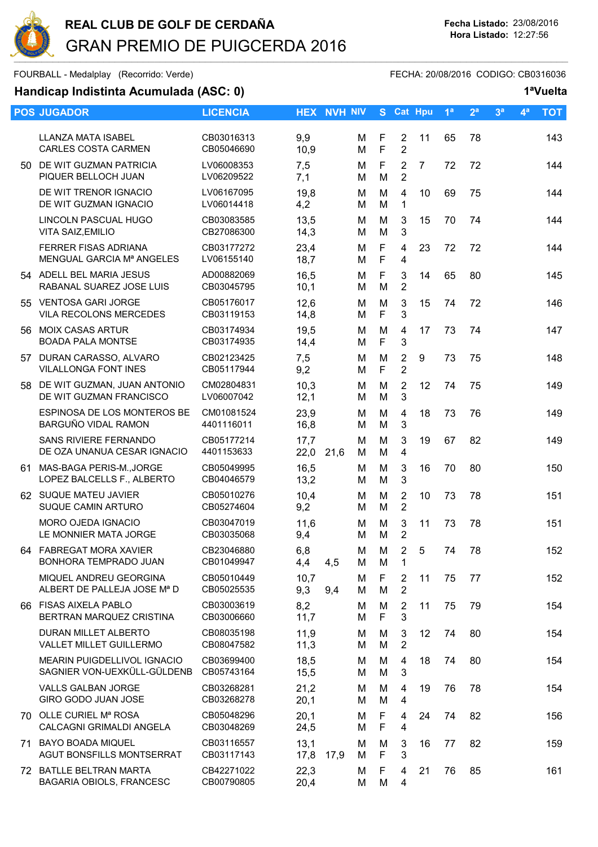

FOURBALL - Medalplay (Recorrido: Verde) extending the state of the FECHA: 20/08/2016 CODIGO: CB0316036

|     | <b>POS JUGADOR</b>                                          | <b>LICENCIA</b>          |              | <b>HEX NVH NIV</b> |        |                  | S Cat Hpu                        |                | 1 <sup>a</sup> | 2 <sup>a</sup> | 3 <sup>a</sup> | 4 <sup>a</sup> | <b>TOT</b> |
|-----|-------------------------------------------------------------|--------------------------|--------------|--------------------|--------|------------------|----------------------------------|----------------|----------------|----------------|----------------|----------------|------------|
|     | <b>LLANZA MATA ISABEL</b><br><b>CARLES COSTA CARMEN</b>     | CB03016313<br>CB05046690 | 9,9<br>10,9  |                    | М<br>M | F<br>F           | $\overline{2}$<br>$\overline{2}$ | 11             | 65             | 78             |                |                | 143        |
|     | 50 DE WIT GUZMAN PATRICIA<br>PIQUER BELLOCH JUAN            | LV06008353<br>LV06209522 | 7,5<br>7,1   |                    | М<br>M | F<br>M           | $\overline{2}$<br>$\overline{2}$ | $\overline{7}$ | 72             | 72             |                |                | 144        |
|     | DE WIT TRENOR IGNACIO<br>DE WIT GUZMAN IGNACIO              | LV06167095<br>LV06014418 | 19,8<br>4,2  |                    | M<br>M | M<br>M           | $\overline{4}$<br>1              | 10             | 69             | 75             |                |                | 144        |
|     | LINCOLN PASCUAL HUGO<br>VITA SAIZ, EMILIO                   | CB03083585<br>CB27086300 | 13,5<br>14,3 |                    | М<br>М | M<br>M           | 3<br>3                           | 15             | 70             | 74             |                |                | 144        |
|     | <b>FERRER FISAS ADRIANA</b><br>MENGUAL GARCIA Mª ANGELES    | CB03177272<br>LV06155140 | 23,4<br>18,7 |                    | M<br>м | $\mathsf F$<br>F | 4<br>4                           | 23             | 72             | 72             |                |                | 144        |
|     | 54 ADELL BEL MARIA JESUS<br>RABANAL SUAREZ JOSE LUIS        | AD00882069<br>CB03045795 | 16,5<br>10,1 |                    | М<br>M | F<br>M           | 3<br>$\overline{2}$              | 14             | 65             | 80             |                |                | 145        |
|     | 55 VENTOSA GARI JORGE<br>VILA RECOLONS MERCEDES             | CB05176017<br>CB03119153 | 12,6<br>14,8 |                    | м<br>M | M<br>F           | 3<br>3                           | 15             | 74             | 72             |                |                | 146        |
|     | 56 MOIX CASAS ARTUR<br><b>BOADA PALA MONTSE</b>             | CB03174934<br>CB03174935 | 19,5<br>14,4 |                    | M<br>м | M<br>F           | 4<br>3                           | 17             | 73             | 74             |                |                | 147        |
|     | 57 DURAN CARASSO, ALVARO<br><b>VILALLONGA FONT INES</b>     | CB02123425<br>CB05117944 | 7,5<br>9,2   |                    | м<br>м | M<br>F           | 2<br>$\overline{2}$              | 9              | 73             | 75             |                |                | 148        |
| 58. | DE WIT GUZMAN, JUAN ANTONIO<br>DE WIT GUZMAN FRANCISCO      | CM02804831<br>LV06007042 | 10,3<br>12,1 |                    | М<br>M | M<br>M           | $\overline{2}$<br>3              | 12             | 74             | 75             |                |                | 149        |
|     | ESPINOSA DE LOS MONTEROS BE<br>BARGUÑO VIDAL RAMON          | CM01081524<br>4401116011 | 23,9<br>16,8 |                    | м<br>М | M<br>M           | 4<br>3                           | 18             | 73             | 76             |                |                | 149        |
|     | <b>SANS RIVIERE FERNANDO</b><br>DE OZA UNANUA CESAR IGNACIO | CB05177214<br>4401153633 | 17,7<br>22,0 | 21,6               | M<br>м | M<br>M           | 3<br>4                           | 19             | 67             | 82             |                |                | 149        |
| 61  | MAS-BAGA PERIS-M., JORGE<br>LOPEZ BALCELLS F., ALBERTO      | CB05049995<br>CB04046579 | 16,5<br>13,2 |                    | м<br>M | M<br>M           | 3<br>3                           | 16             | 70             | 80             |                |                | 150        |
|     | 62 SUQUE MATEU JAVIER<br>SUQUE CAMIN ARTURO                 | CB05010276<br>CB05274604 | 10,4<br>9,2  |                    | м<br>М | M<br>M           | $\overline{2}$<br>$\overline{2}$ | 10             | 73             | 78             |                |                | 151        |
|     | <b>MORO OJEDA IGNACIO</b><br>LE MONNIER MATA JORGE          | CB03047019<br>CB03035068 | 11,6<br>9,4  |                    | М<br>M | M<br>M           | 3<br>$\overline{2}$              | 11             | 73             | 78             |                |                | 151        |
|     | 64 FABREGAT MORA XAVIER<br>BONHORA TEMPRADO JUAN            | CB23046880<br>CB01049947 | 6,8<br>4,4   | 4,5                | M<br>м | M<br>M           | $\overline{2}$<br>1              | 5              | 74             | 78             |                |                | 152        |
|     | MIQUEL ANDREU GEORGINA<br>ALBERT DE PALLEJA JOSE Mª D       | CB05010449<br>CB05025535 | 10,7<br>9,3  | 9,4                | M<br>М | F<br>M           | 2<br>$\overline{2}$              | 11             | 75             | 77             |                |                | 152        |
|     | 66 FISAS AIXELA PABLO<br>BERTRAN MARQUEZ CRISTINA           | CB03003619<br>CB03006660 | 8,2<br>11,7  |                    | м<br>M | M<br>F           | $\overline{2}$<br>3              | 11             | 75             | 79             |                |                | 154        |
|     | <b>DURAN MILLET ALBERTO</b><br>VALLET MILLET GUILLERMO      | CB08035198<br>CB08047582 | 11,9<br>11,3 |                    | М<br>М | M<br>M           | 3<br>$\overline{2}$              | 12             | 74             | 80             |                |                | 154        |
|     | MEARIN PUIGDELLIVOL IGNACIO<br>SAGNIER VON-UEXKÜLL-GÜLDENB  | CB03699400<br>CB05743164 | 18,5<br>15,5 |                    | М<br>М | M<br>M           | 4<br>3                           | 18             | 74             | 80             |                |                | 154        |
|     | <b>VALLS GALBAN JORGE</b><br>GIRO GODO JUAN JOSE            | CB03268281<br>CB03268278 | 21,2<br>20,1 |                    | M<br>м | M<br>M           | 4<br>4                           | 19             | 76             | 78             |                |                | 154        |
|     | 70 OLLE CURIEL Mª ROSA<br>CALCAGNI GRIMALDI ANGELA          | CB05048296<br>CB03048269 | 20,1<br>24,5 |                    | м<br>М | F<br>F           | 4<br>4                           | 24             | 74             | 82             |                |                | 156        |
|     | 71 BAYO BOADA MIQUEL<br>AGUT BONSFILLS MONTSERRAT           | CB03116557<br>CB03117143 | 13,1<br>17,8 | 17,9               | м<br>М | M<br>F           | 3<br>3                           | 16             | 77             | 82             |                |                | 159        |
|     | 72 BATLLE BELTRAN MARTA<br><b>BAGARIA OBIOLS, FRANCESC</b>  | CB42271022<br>CB00790805 | 22,3<br>20,4 |                    | М<br>M | F<br>M           | 4<br>4                           | 21             | 76             | 85             |                |                | 161        |